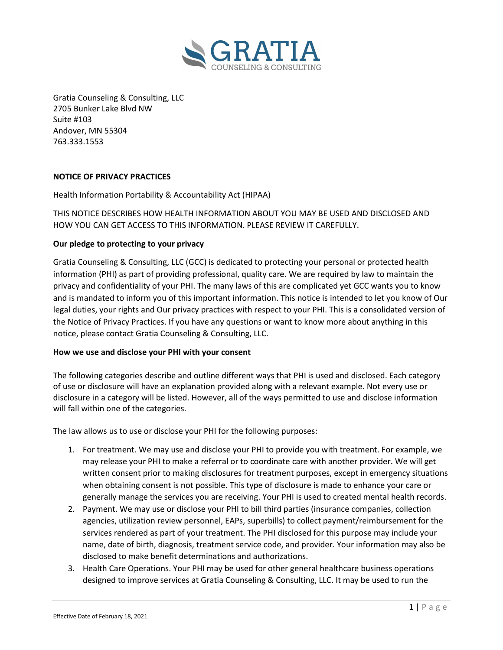

Gratia Counseling & Consulting, LLC 2705 Bunker Lake Blvd NW Suite #103 Andover, MN 55304 763.333.1553

## NOTICE OF PRIVACY PRACTICES

Health Information Portability & Accountability Act (HIPAA)

THIS NOTICE DESCRIBES HOW HEALTH INFORMATION ABOUT YOU MAY BE USED AND DISCLOSED AND HOW YOU CAN GET ACCESS TO THIS INFORMATION. PLEASE REVIEW IT CAREFULLY.

### Our pledge to protecting to your privacy

Gratia Counseling & Consulting, LLC (GCC) is dedicated to protecting your personal or protected health information (PHI) as part of providing professional, quality care. We are required by law to maintain the privacy and confidentiality of your PHI. The many laws of this are complicated yet GCC wants you to know and is mandated to inform you of this important information. This notice is intended to let you know of Our legal duties, your rights and Our privacy practices with respect to your PHI. This is a consolidated version of the Notice of Privacy Practices. If you have any questions or want to know more about anything in this notice, please contact Gratia Counseling & Consulting, LLC.

#### How we use and disclose your PHI with your consent

The following categories describe and outline different ways that PHI is used and disclosed. Each category of use or disclosure will have an explanation provided along with a relevant example. Not every use or disclosure in a category will be listed. However, all of the ways permitted to use and disclose information will fall within one of the categories.

The law allows us to use or disclose your PHI for the following purposes:

- 1. For treatment. We may use and disclose your PHI to provide you with treatment. For example, we may release your PHI to make a referral or to coordinate care with another provider. We will get written consent prior to making disclosures for treatment purposes, except in emergency situations when obtaining consent is not possible. This type of disclosure is made to enhance your care or generally manage the services you are receiving. Your PHI is used to created mental health records.
- 2. Payment. We may use or disclose your PHI to bill third parties (insurance companies, collection agencies, utilization review personnel, EAPs, superbills) to collect payment/reimbursement for the services rendered as part of your treatment. The PHI disclosed for this purpose may include your name, date of birth, diagnosis, treatment service code, and provider. Your information may also be disclosed to make benefit determinations and authorizations.
- 3. Health Care Operations. Your PHI may be used for other general healthcare business operations designed to improve services at Gratia Counseling & Consulting, LLC. It may be used to run the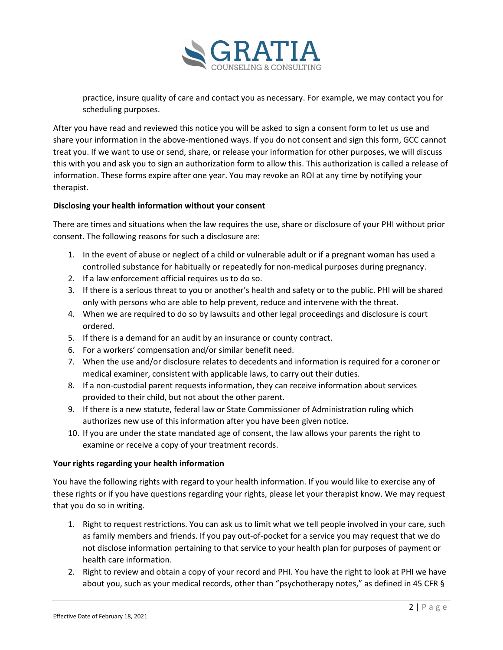

practice, insure quality of care and contact you as necessary. For example, we may contact you for scheduling purposes.

After you have read and reviewed this notice you will be asked to sign a consent form to let us use and share your information in the above-mentioned ways. If you do not consent and sign this form, GCC cannot treat you. If we want to use or send, share, or release your information for other purposes, we will discuss this with you and ask you to sign an authorization form to allow this. This authorization is called a release of information. These forms expire after one year. You may revoke an ROI at any time by notifying your therapist.

## Disclosing your health information without your consent

There are times and situations when the law requires the use, share or disclosure of your PHI without prior consent. The following reasons for such a disclosure are:

- 1. In the event of abuse or neglect of a child or vulnerable adult or if a pregnant woman has used a controlled substance for habitually or repeatedly for non-medical purposes during pregnancy.
- 2. If a law enforcement official requires us to do so.
- 3. If there is a serious threat to you or another's health and safety or to the public. PHI will be shared only with persons who are able to help prevent, reduce and intervene with the threat.
- 4. When we are required to do so by lawsuits and other legal proceedings and disclosure is court ordered.
- 5. If there is a demand for an audit by an insurance or county contract.
- 6. For a workers' compensation and/or similar benefit need.
- 7. When the use and/or disclosure relates to decedents and information is required for a coroner or medical examiner, consistent with applicable laws, to carry out their duties.
- 8. If a non-custodial parent requests information, they can receive information about services provided to their child, but not about the other parent.
- 9. If there is a new statute, federal law or State Commissioner of Administration ruling which authorizes new use of this information after you have been given notice.
- 10. If you are under the state mandated age of consent, the law allows your parents the right to examine or receive a copy of your treatment records.

### Your rights regarding your health information

You have the following rights with regard to your health information. If you would like to exercise any of these rights or if you have questions regarding your rights, please let your therapist know. We may request that you do so in writing.

- 1. Right to request restrictions. You can ask us to limit what we tell people involved in your care, such as family members and friends. If you pay out-of-pocket for a service you may request that we do not disclose information pertaining to that service to your health plan for purposes of payment or health care information.
- 2. Right to review and obtain a copy of your record and PHI. You have the right to look at PHI we have about you, such as your medical records, other than "psychotherapy notes," as defined in 45 CFR §